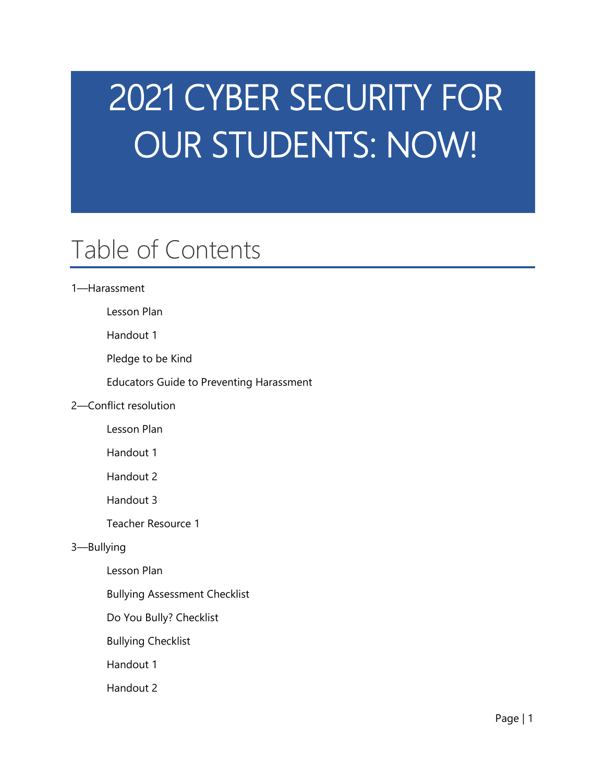# 2021 CYBER SECURITY FOR OUR STUDENTS: NOW!

# Table of Contents

# 1—Harassment

Lesson Plan

Handout 1

Pledge to be Kind

Educators Guide to Preventing Harassment

# 2—Conflict resolution

Lesson Plan

Handout 1

Handout 2

Handout 3

Teacher Resource 1

#### 3—Bullying

Lesson Plan

Bullying Assessment Checklist

Do You Bully? Checklist

Bullying Checklist

Handout 1

Handout 2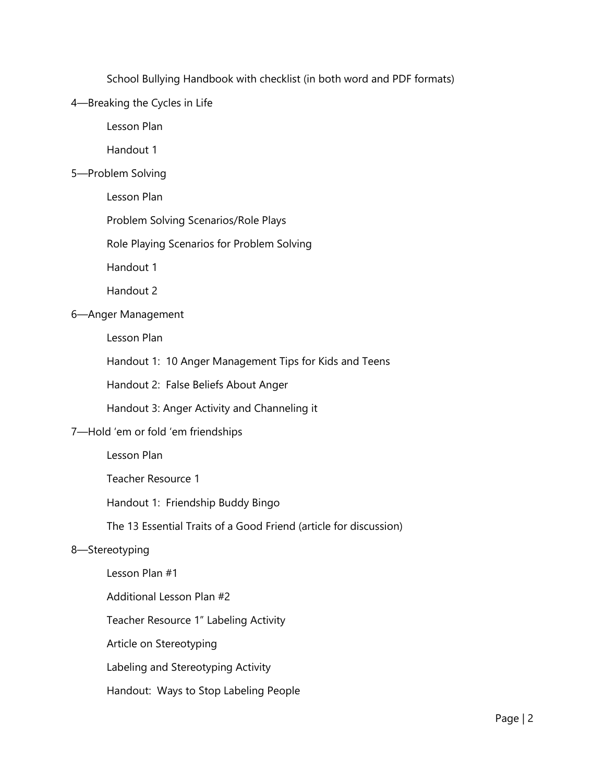School Bullying Handbook with checklist (in both word and PDF formats)

# 4—Breaking the Cycles in Life

Lesson Plan

Handout 1

# 5—Problem Solving

Lesson Plan

Problem Solving Scenarios/Role Plays

Role Playing Scenarios for Problem Solving

Handout 1

Handout 2

# 6—Anger Management

Lesson Plan

Handout 1: 10 Anger Management Tips for Kids and Teens

Handout 2: False Beliefs About Anger

Handout 3: Anger Activity and Channeling it

# 7—Hold 'em or fold 'em friendships

Lesson Plan

Teacher Resource 1

Handout 1: Friendship Buddy Bingo

The 13 Essential Traits of a Good Friend (article for discussion)

# 8—Stereotyping

Lesson Plan #1 Additional Lesson Plan #2 Teacher Resource 1" Labeling Activity Article on Stereotyping Labeling and Stereotyping Activity Handout: Ways to Stop Labeling People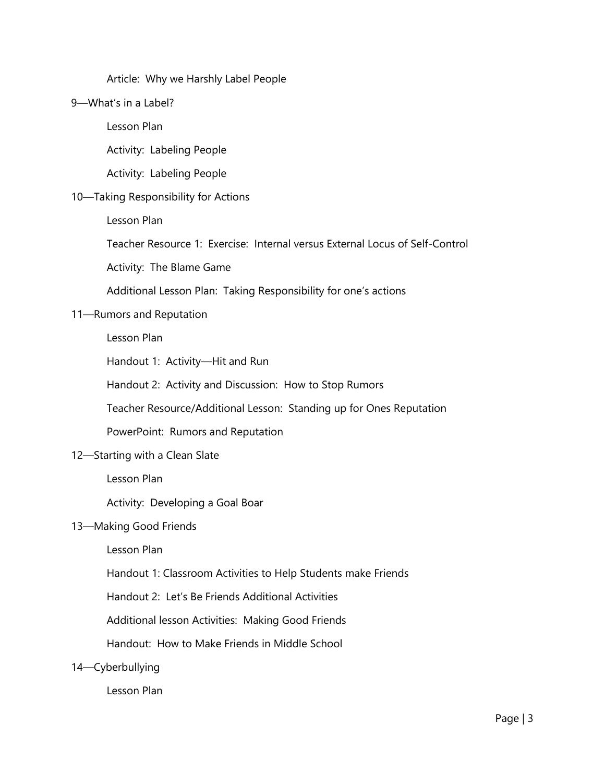# Article: Why we Harshly Label People

#### 9—What's in a Label?

Lesson Plan

Activity: Labeling People

Activity: Labeling People

# 10—Taking Responsibility for Actions

Lesson Plan

Teacher Resource 1: Exercise: Internal versus External Locus of Self-Control

Activity: The Blame Game

Additional Lesson Plan: Taking Responsibility for one's actions

#### 11—Rumors and Reputation

Lesson Plan

Handout 1: Activity—Hit and Run

Handout 2: Activity and Discussion: How to Stop Rumors

Teacher Resource/Additional Lesson: Standing up for Ones Reputation

PowerPoint: Rumors and Reputation

#### 12—Starting with a Clean Slate

Lesson Plan

Activity: Developing a Goal Boar

#### 13—Making Good Friends

Lesson Plan

Handout 1: Classroom Activities to Help Students make Friends

Handout 2: Let's Be Friends Additional Activities

Additional lesson Activities: Making Good Friends

Handout: How to Make Friends in Middle School

14—Cyberbullying

Lesson Plan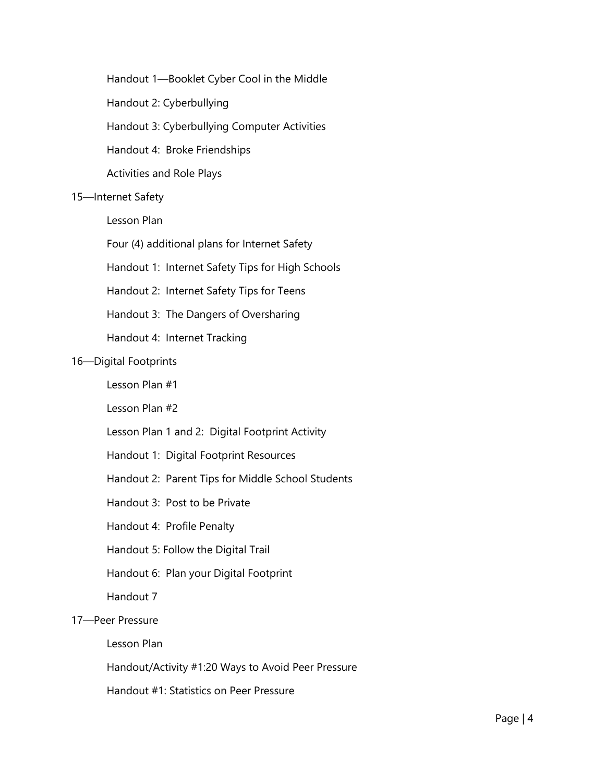Handout 1—Booklet Cyber Cool in the Middle

Handout 2: Cyberbullying

Handout 3: Cyberbullying Computer Activities

Handout 4: Broke Friendships

Activities and Role Plays

#### 15—Internet Safety

Lesson Plan

Four (4) additional plans for Internet Safety

Handout 1: Internet Safety Tips for High Schools

Handout 2: Internet Safety Tips for Teens

Handout 3: The Dangers of Oversharing

Handout 4: Internet Tracking

#### 16—Digital Footprints

Lesson Plan #1

Lesson Plan #2

- Lesson Plan 1 and 2: Digital Footprint Activity
- Handout 1: Digital Footprint Resources
- Handout 2: Parent Tips for Middle School Students
- Handout 3: Post to be Private
- Handout 4: Profile Penalty
- Handout 5: Follow the Digital Trail
- Handout 6: Plan your Digital Footprint

Handout 7

#### 17—Peer Pressure

Lesson Plan

Handout/Activity #1:20 Ways to Avoid Peer Pressure

Handout #1: Statistics on Peer Pressure